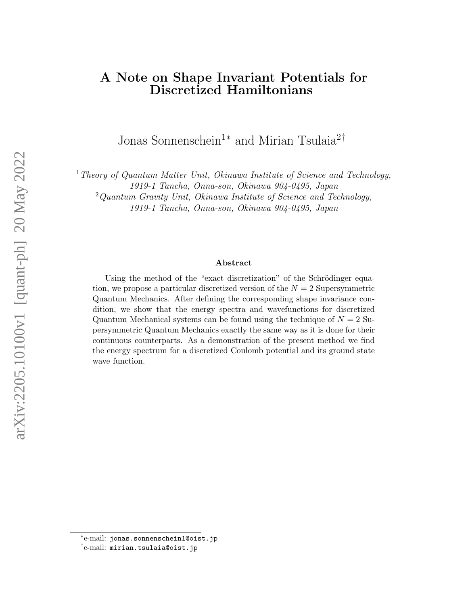### A Note on Shape Invariant Potentials for Discretized Hamiltonians

Jonas Sonnenschein<sup>1</sup><sup>[∗](#page-0-0)</sup> and Mirian Tsulaia<sup>2[†](#page-0-1)</sup>

<sup>1</sup> Theory of Quantum Matter Unit, Okinawa Institute of Science and Technology,

1919-1 Tancha, Onna-son, Okinawa 904-0495, Japan

 $2$ Quantum Gravity Unit, Okinawa Institute of Science and Technology,

1919-1 Tancha, Onna-son, Okinawa 904-0495, Japan

#### Abstract

Using the method of the "exact discretization" of the Schrödinger equation, we propose a particular discretized version of the  $N = 2$  Supersymmetric Quantum Mechanics. After defining the corresponding shape invariance condition, we show that the energy spectra and wavefunctions for discretized Quantum Mechanical systems can be found using the technique of  $N = 2$  Supersymmetric Quantum Mechanics exactly the same way as it is done for their continuous counterparts. As a demonstration of the present method we find the energy spectrum for a discretized Coulomb potential and its ground state wave function.

<span id="page-0-0"></span><sup>∗</sup> e-mail: jonas.sonnenschein1@oist.jp

<span id="page-0-1"></span><sup>†</sup> e-mail: mirian.tsulaia@oist.jp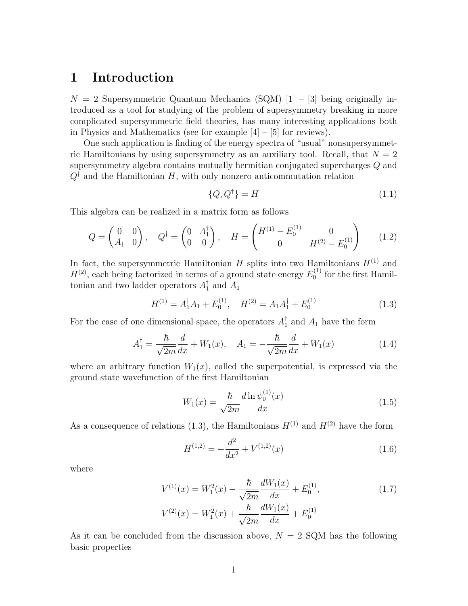### 1 Introduction

 $N = 2$  Supersymmetric Quantum Mechanics (SQM) [\[1\]](#page-8-0) – [\[3\]](#page-9-0) being originally introduced as a tool for studying of the problem of supersymmetry breaking in more complicated supersymmetric field theories, has many interesting applications both in Physics and Mathematics (see for example [\[4\]](#page-9-1) – [\[5\]](#page-9-2) for reviews).

One such application is finding of the energy spectra of "usual" nonsupersymmetric Hamiltonians by using supersymmetry as an auxiliary tool. Recall, that  $N = 2$ supersymmetry algebra contains mutually hermitian conjugated supercharges Q and  $Q^{\dagger}$  and the Hamiltonian H, with only nonzero anticommutation relation

<span id="page-1-1"></span>
$$
\{Q, Q^{\dagger}\} = H \tag{1.1}
$$

This algebra can be realized in a matrix form as follows

$$
Q = \begin{pmatrix} 0 & 0 \\ A_1 & 0 \end{pmatrix}, \quad Q^{\dagger} = \begin{pmatrix} 0 & A_1^{\dagger} \\ 0 & 0 \end{pmatrix}, \quad H = \begin{pmatrix} H^{(1)} - E_0^{(1)} & 0 \\ 0 & H^{(2)} - E_0^{(1)} \end{pmatrix} \tag{1.2}
$$

In fact, the supersymmetric Hamiltonian  $H$  splits into two Hamiltonians  $H^{(1)}$  and  $H^{(2)}$ , each being factorized in terms of a ground state energy  $E_0^{(1)}$  $_0^{(1)}$  for the first Hamiltonian and two ladder operators  $A_1^{\dagger}$  $_1^{\text{I}}$  and  $A_1$ 

<span id="page-1-0"></span>
$$
H^{(1)} = A_1^{\dagger} A_1 + E_0^{(1)}, \quad H^{(2)} = A_1 A_1^{\dagger} + E_0^{(1)} \tag{1.3}
$$

For the case of one dimensional space, the operators  $A_1^{\dagger}$  $\frac{1}{1}$  and  $A_1$  have the form

<span id="page-1-3"></span>
$$
A_1^{\dagger} = \frac{\hbar}{\sqrt{2m}} \frac{d}{dx} + W_1(x), \quad A_1 = -\frac{\hbar}{\sqrt{2m}} \frac{d}{dx} + W_1(x) \tag{1.4}
$$

where an arbitrary function  $W_1(x)$ , called the superpotential, is expressed via the ground state wavefunction of the first Hamiltonian

<span id="page-1-4"></span>
$$
W_1(x) = \frac{\hbar}{\sqrt{2m}} \frac{d \ln \psi_0^{(1)}(x)}{dx}
$$
 (1.5)

As a consequence of relations [\(1.3\)](#page-1-0), the Hamiltonians  $H^{(1)}$  and  $H^{(2)}$  have the form

<span id="page-1-2"></span>
$$
H^{(1,2)} = -\frac{d^2}{dx^2} + V^{(1,2)}(x)
$$
\n(1.6)

where

<span id="page-1-5"></span>
$$
V^{(1)}(x) = W_1^2(x) - \frac{\hbar}{\sqrt{2m}} \frac{dW_1(x)}{dx} + E_0^{(1)},
$$
  
\n
$$
V^{(2)}(x) = W_1^2(x) + \frac{\hbar}{\sqrt{2m}} \frac{dW_1(x)}{dx} + E_0^{(1)}
$$
\n(1.7)

As it can be concluded from the discussion above,  $N = 2$  SQM has the following basic properties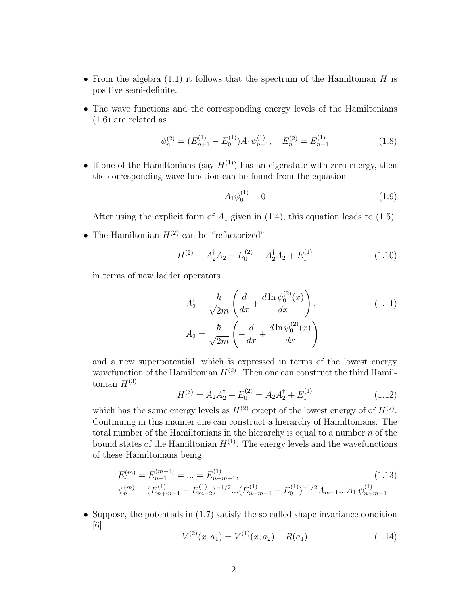- From the algebra  $(1.1)$  it follows that the spectrum of the Hamiltonian H is positive semi-definite.
- The wave functions and the corresponding energy levels of the Hamiltonians [\(1.6\)](#page-1-2) are related as

$$
\psi_n^{(2)} = (E_{n+1}^{(1)} - E_0^{(1)})A_1\psi_{n+1}^{(1)}, \quad E_n^{(2)} = E_{n+1}^{(1)} \tag{1.8}
$$

• If one of the Hamiltonians (say  $H^{(1)}$ ) has an eigenstate with zero energy, then the corresponding wave function can be found from the equation

<span id="page-2-1"></span>
$$
A_1 \psi_0^{(1)} = 0 \tag{1.9}
$$

After using the explicit form of  $A_1$  given in [\(1.4\)](#page-1-3), this equation leads to [\(1.5\)](#page-1-4).

• The Hamiltonian  $H^{(2)}$  can be "refactorized"

$$
H^{(2)} = A_2^{\dagger} A_2 + E_0^{(2)} = A_2^{\dagger} A_2 + E_1^{(1)}
$$
\n(1.10)

in terms of new ladder operators

$$
A_2^{\dagger} = \frac{\hbar}{\sqrt{2m}} \left( \frac{d}{dx} + \frac{d \ln \psi_0^{(2)}(x)}{dx} \right),
$$
\n
$$
A_2 = \frac{\hbar}{\sqrt{2m}} \left( -\frac{d}{dx} + \frac{d \ln \psi_0^{(2)}(x)}{dx} \right)
$$
\n(1.11)

and a new superpotential, which is expressed in terms of the lowest energy wavefunction of the Hamiltonian  $H^{(2)}$ . Then one can construct the third Hamiltonian  $H^{(3)}$ 

$$
H^{(3)} = A_2 A_2^{\dagger} + E_0^{(2)} = A_2 A_2^{\dagger} + E_1^{(1)}
$$
\n(1.12)

which has the same energy levels as  $H^{(2)}$  except of the lowest energy of of  $H^{(2)}$ . Continuing in this manner one can construct a hierarchy of Hamiltonians. The total number of the Hamiltonians in the hierarchy is equal to a number  $n$  of the bound states of the Hamiltonian  $H^{(1)}$ . The energy levels and the wavefunctions of these Hamiltonians being

<span id="page-2-2"></span>
$$
E_n^{(m)} = E_{n+1}^{(m-1)} = \dots = E_{n+m-1}^{(1)},
$$
  
\n
$$
\psi_n^{(m)} = (E_{n+m-1}^{(1)} - E_{m-2}^{(1)})^{-1/2} \dots (E_{n+m-1}^{(1)} - E_0^{(1)})^{-1/2} A_{m-1} \dots A_1 \psi_{n+m-1}^{(1)}
$$
\n(1.13)

• Suppose, the potentials in  $(1.7)$  satisfy the so called shape invariance condition [\[6\]](#page-9-3)

<span id="page-2-0"></span>
$$
V^{(2)}(x, a_1) = V^{(1)}(x, a_2) + R(a_1)
$$
\n(1.14)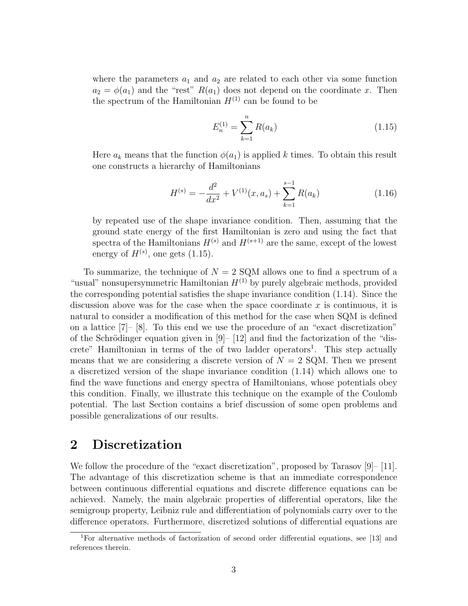where the parameters  $a_1$  and  $a_2$  are related to each other via some function  $a_2 = \phi(a_1)$  and the "rest"  $R(a_1)$  does not depend on the coordinate x. Then the spectrum of the Hamiltonian  $H^{(1)}$  can be found to be

<span id="page-3-0"></span>
$$
E_n^{(1)} = \sum_{k=1}^n R(a_k)
$$
 (1.15)

Here  $a_k$  means that the function  $\phi(a_1)$  is applied k times. To obtain this result one constructs a hierarchy of Hamiltonians

$$
H^{(s)} = -\frac{d^2}{dx^2} + V^{(1)}(x, a_s) + \sum_{k=1}^{s-1} R(a_k)
$$
\n(1.16)

by repeated use of the shape invariance condition. Then, assuming that the ground state energy of the first Hamiltonian is zero and using the fact that spectra of the Hamiltonians  $H^{(s)}$  and  $H^{(s+1)}$  are the same, except of the lowest energy of  $H^{(s)}$ , one gets [\(1.15\)](#page-3-0).

To summarize, the technique of  $N = 2$  SQM allows one to find a spectrum of a "usual" nonsupersymmetric Hamiltonian  $H^{(1)}$  by purely algebraic methods, provided the corresponding potential satisfies the shape invariance condition [\(1.14\)](#page-2-0). Since the discussion above was for the case when the space coordinate  $x$  is continuous, it is natural to consider a modification of this method for the case when SQM is defined on a lattice [\[7\]](#page-9-4)– [\[8\]](#page-9-5). To this end we use the procedure of an "exact discretization" of the Schrödinger equation given in  $[9]$ –  $[12]$  and find the factorization of the "dis-crete" Hamiltonian in terms of the of two ladder operators<sup>[1](#page-3-1)</sup>. This step actually means that we are considering a discrete version of  $N = 2$  SQM. Then we present a discretized version of the shape invariance condition [\(1.14\)](#page-2-0) which allows one to find the wave functions and energy spectra of Hamiltonians, whose potentials obey this condition. Finally, we illustrate this technique on the example of the Coulomb potential. The last Section contains a brief discussion of some open problems and possible generalizations of our results.

### <span id="page-3-2"></span>2 Discretization

We follow the procedure of the "exact discretization", proposed by Tarasov [\[9\]](#page-9-6)– [\[11\]](#page-9-8). The advantage of this discretization scheme is that an immediate correspondence between continuous differential equations and discrete difference equations can be achieved. Namely, the main algebraic properties of differential operators, like the semigroup property, Leibniz rule and differentiation of polynomials carry over to the difference operators. Furthermore, discretized solutions of differential equations are

<span id="page-3-1"></span><sup>1</sup>For alternative methods of factorization of second order differential equations, see [\[13\]](#page-10-0) and references therein.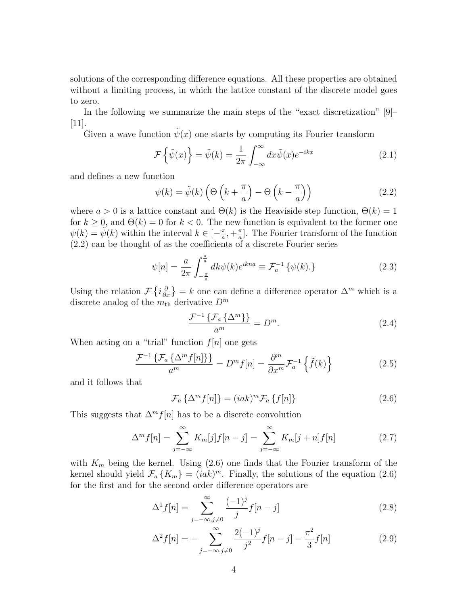solutions of the corresponding difference equations. All these properties are obtained without a limiting process, in which the lattice constant of the discrete model goes to zero.

In the following we summarize the main steps of the "exact discretization" [\[9\]](#page-9-6)–  $|11|$ .

Given a wave function  $\tilde{\psi}(x)$  one starts by computing its Fourier transform

$$
\mathcal{F}\left\{\tilde{\psi}(x)\right\} = \tilde{\psi}(k) = \frac{1}{2\pi} \int_{-\infty}^{\infty} dx \tilde{\psi}(x) e^{-ikx}
$$
\n(2.1)

and defines a new function

<span id="page-4-0"></span>
$$
\psi(k) = \tilde{\psi}(k) \left( \Theta \left( k + \frac{\pi}{a} \right) - \Theta \left( k - \frac{\pi}{a} \right) \right) \tag{2.2}
$$

where  $a > 0$  is a lattice constant and  $\Theta(k)$  is the Heaviside step function,  $\Theta(k) = 1$ for  $k \geq 0$ , and  $\Theta(k) = 0$  for  $k < 0$ . The new function is equivalent to the former one  $\psi(k) = \tilde{\psi}(k)$  within the interval  $k \in [-\frac{\pi}{a}]$  $\frac{\pi}{a}, +\frac{\pi}{a}$  $\frac{\pi}{a}$ . The Fourier transform of the function [\(2.2\)](#page-4-0) can be thought of as the coefficients of a discrete Fourier series

$$
\psi[n] = \frac{a}{2\pi} \int_{-\frac{\pi}{a}}^{\frac{\pi}{a}} dk \psi(k) e^{ikna} \equiv \mathcal{F}_a^{-1} \{ \psi(k) \} \tag{2.3}
$$

Using the relation  $\mathcal{F}\left\{i\frac{\partial}{\partial x}\right\} = k$  one can define a difference operator  $\Delta^m$  which is a discrete analog of the  $m<sub>th</sub>$  derivative  $D<sup>m</sup>$ 

<span id="page-4-3"></span><span id="page-4-1"></span>
$$
\frac{\mathcal{F}^{-1}\left\{\mathcal{F}_a\left\{\Delta^m\right\}\right\}}{a^m} = D^m. \tag{2.4}
$$

When acting on a "trial" function  $f[n]$  one gets

$$
\frac{\mathcal{F}^{-1}\left\{\mathcal{F}_a\left\{\Delta^m f[n]\right\}\right\}}{a^m} = D^m f[n] = \frac{\partial^m}{\partial x^m} \mathcal{F}_a^{-1}\left\{\tilde{f}(k)\right\} \tag{2.5}
$$

and it follows that

$$
\mathcal{F}_a\left\{\Delta^m f[n]\right\} = (iak)^m \mathcal{F}_a\left\{f[n]\right\} \tag{2.6}
$$

This suggests that  $\Delta^m f[n]$  has to be a discrete convolution

$$
\Delta^m f[n] = \sum_{j=-\infty}^{\infty} K_m[j] f[n-j] = \sum_{j=-\infty}^{\infty} K_m[j+n] f[n]
$$
 (2.7)

with  $K_m$  being the kernel. Using  $(2.6)$  one finds that the Fourier transform of the kernel should yield  $\mathcal{F}_a \{K_m\} = (iak)^m$ . Finally, the solutions of the equation [\(2.6\)](#page-4-1) for the first and for the second order difference operators are

<span id="page-4-2"></span>
$$
\Delta^1 f[n] = \sum_{j=-\infty, j \neq 0}^{\infty} \frac{(-1)^j}{j} f[n-j]
$$
 (2.8)

$$
\Delta^2 f[n] = -\sum_{j=-\infty, j\neq 0}^{\infty} \frac{2(-1)^j}{j^2} f[n-j] - \frac{\pi^2}{3} f[n] \tag{2.9}
$$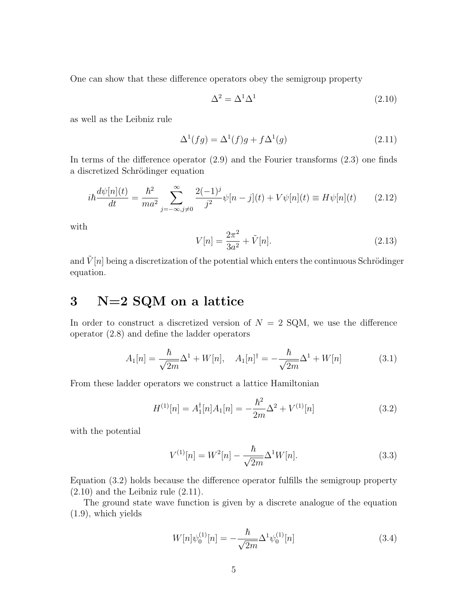One can show that these difference operators obey the semigroup property

<span id="page-5-1"></span>
$$
\Delta^2 = \Delta^1 \Delta^1 \tag{2.10}
$$

as well as the Leibniz rule

<span id="page-5-2"></span>
$$
\Delta^1(fg) = \Delta^1(f)g + f\Delta^1(g) \tag{2.11}
$$

In terms of the difference operator  $(2.9)$  and the Fourier transforms  $(2.3)$  one finds a discretized Schrödinger equation

$$
i\hbar \frac{d\psi[n](t)}{dt} = \frac{\hbar^2}{ma^2} \sum_{j=-\infty, j\neq 0}^{\infty} \frac{2(-1)^j}{j^2} \psi[n-j](t) + V\psi[n](t) \equiv H\psi[n](t) \tag{2.12}
$$

with

$$
V[n] = \frac{2\pi^2}{3a^2} + \tilde{V}[n].
$$
\n(2.13)

and  $\tilde{V}[n]$  being a discretization of the potential which enters the continuous Schrödinger equation.

# <span id="page-5-3"></span>3 N=2 SQM on a lattice

In order to construct a discretized version of  $N = 2$  SQM, we use the difference operator [\(2.8\)](#page-4-2) and define the ladder operators

$$
A_1[n] = \frac{\hbar}{\sqrt{2m}} \Delta^1 + W[n], \quad A_1[n]^\dagger = -\frac{\hbar}{\sqrt{2m}} \Delta^1 + W[n] \tag{3.1}
$$

From these ladder operators we construct a lattice Hamiltonian

$$
H^{(1)}[n] = A_1^{\dagger}[n]A_1[n] = -\frac{\hbar^2}{2m}\Delta^2 + V^{(1)}[n] \tag{3.2}
$$

with the potential

<span id="page-5-0"></span>
$$
V^{(1)}[n] = W^2[n] - \frac{\hbar}{\sqrt{2m}} \Delta^1 W[n].
$$
\n(3.3)

Equation [\(3.2\)](#page-5-0) holds because the difference operator fulfills the semigroup property  $(2.10)$  and the Leibniz rule  $(2.11)$ .

The ground state wave function is given by a discrete analogue of the equation [\(1.9\)](#page-2-1), which yields

<span id="page-5-4"></span>
$$
W[n]\psi_0^{(1)}[n] = -\frac{\hbar}{\sqrt{2m}}\Delta^1\psi_0^{(1)}[n] \tag{3.4}
$$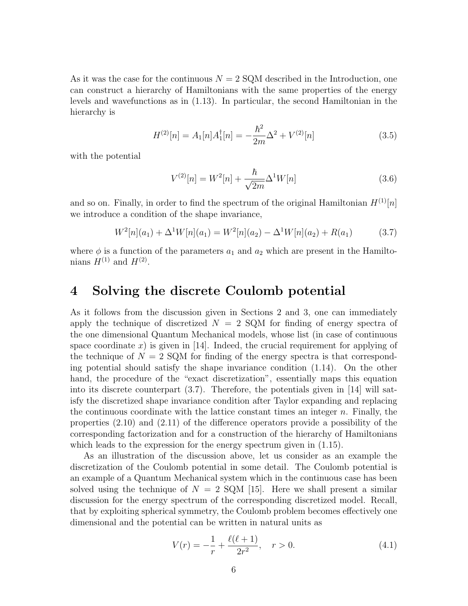As it was the case for the continuous  $N = 2$  SQM described in the Introduction, one can construct a hierarchy of Hamiltonians with the same properties of the energy levels and wavefunctions as in [\(1.13\)](#page-2-2). In particular, the second Hamiltonian in the hierarchy is

$$
H^{(2)}[n] = A_1[n]A_1^{\dagger}[n] = -\frac{\hbar^2}{2m}\Delta^2 + V^{(2)}[n] \tag{3.5}
$$

with the potential

<span id="page-6-0"></span>
$$
V^{(2)}[n] = W^2[n] + \frac{\hbar}{\sqrt{2m}} \Delta^1 W[n]
$$
\n(3.6)

and so on. Finally, in order to find the spectrum of the original Hamiltonian  $H^{(1)}[n]$ we introduce a condition of the shape invariance,

$$
W^{2}[n](a_{1}) + \Delta^{1}W[n](a_{1}) = W^{2}[n](a_{2}) - \Delta^{1}W[n](a_{2}) + R(a_{1})
$$
\n(3.7)

where  $\phi$  is a function of the parameters  $a_1$  and  $a_2$  which are present in the Hamiltonians  $H^{(1)}$  and  $H^{(2)}$ .

### 4 Solving the discrete Coulomb potential

As it follows from the discussion given in Sections [2](#page-3-2) and [3,](#page-5-3) one can immediately apply the technique of discretized  $N = 2$  SQM for finding of energy spectra of the one dimensional Quantum Mechanical models, whose list (in case of continuous space coordinate x) is given in  $|14|$ . Indeed, the crucial requirement for applying of the technique of  $N = 2$  SQM for finding of the energy spectra is that corresponding potential should satisfy the shape invariance condition [\(1.14\)](#page-2-0). On the other hand, the procedure of the "exact discretization", essentially maps this equation into its discrete counterpart [\(3.7\)](#page-6-0). Therefore, the potentials given in [\[14\]](#page-10-1) will satisfy the discretized shape invariance condition after Taylor expanding and replacing the continuous coordinate with the lattice constant times an integer  $n$ . Finally, the properties [\(2.10\)](#page-5-1) and [\(2.11\)](#page-5-2) of the difference operators provide a possibility of the corresponding factorization and for a construction of the hierarchy of Hamiltonians which leads to the expression for the energy spectrum given in  $(1.15)$ .

As an illustration of the discussion above, let us consider as an example the discretization of the Coulomb potential in some detail. The Coulomb potential is an example of a Quantum Mechanical system which in the continuous case has been solved using the technique of  $N = 2$  SQM [\[15\]](#page-10-2). Here we shall present a similar discussion for the energy spectrum of the corresponding discretized model. Recall, that by exploiting spherical symmetry, the Coulomb problem becomes effectively one dimensional and the potential can be written in natural units as

$$
V(r) = -\frac{1}{r} + \frac{\ell(\ell+1)}{2r^2}, \quad r > 0.
$$
\n(4.1)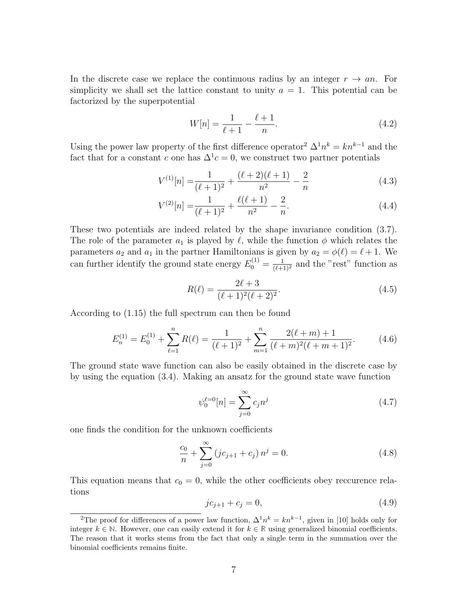In the discrete case we replace the continuous radius by an integer  $r \rightarrow an$ . For simplicity we shall set the lattice constant to unity  $a = 1$ . This potential can be factorized by the superpotential

$$
W[n] = \frac{1}{\ell+1} - \frac{\ell+1}{n}.\tag{4.2}
$$

Using the power law property of the first difference operator<sup>[2](#page-7-0)</sup>  $\Delta^1 n^k = k n^{k-1}$  and the fact that for a constant c one has  $\Delta^1 c = 0$ , we construct two partner potentials

$$
V^{(1)}[n] = \frac{1}{(\ell+1)^2} + \frac{(\ell+2)(\ell+1)}{n^2} - \frac{2}{n}
$$
\n(4.3)

$$
V^{(2)}[n] = \frac{1}{(\ell+1)^2} + \frac{\ell(\ell+1)}{n^2} - \frac{2}{n}.
$$
\n(4.4)

These two potentials are indeed related by the shape invariance condition [\(3.7\)](#page-6-0). The role of the parameter  $a_1$  is played by  $\ell$ , while the function  $\phi$  which relates the parameters  $a_2$  and  $a_1$  in the partner Hamiltonians is given by  $a_2 = \phi(\ell) = \ell + 1$ . We can further identify the ground state energy  $E_0^{(1)} = \frac{1}{(\ell+1)^2}$  and the "rest" function as

$$
R(\ell) = \frac{2\ell + 3}{(\ell + 1)^2 (\ell + 2)^2}.
$$
\n(4.5)

According to [\(1.15\)](#page-3-0) the full spectrum can then be found

$$
E_n^{(1)} = E_0^{(1)} + \sum_{\ell=1}^n R(\ell) = \frac{1}{(\ell+1)^2} + \sum_{m=1}^n \frac{2(\ell+m)+1}{(\ell+m)^2(\ell+m+1)^2}.
$$
 (4.6)

The ground state wave function can also be easily obtained in the discrete case by by using the equation [\(3.4\)](#page-5-4). Making an ansatz for the ground state wave function

$$
\psi_0^{\ell=0}[n] = \sum_{j=0}^{\infty} c_j n^j
$$
\n(4.7)

one finds the condition for the unknown coefficients

$$
\frac{c_0}{n} + \sum_{j=0}^{\infty} (jc_{j+1} + c_j) n^j = 0.
$$
 (4.8)

This equation means that  $c_0 = 0$ , while the other coefficients obey reccurence relations

$$
jc_{j+1} + c_j = 0,\t\t(4.9)
$$

<span id="page-7-0"></span><sup>&</sup>lt;sup>2</sup>The proof for differences of a power law function,  $\Delta^1 n^k = k n^{k-1}$ , given in [\[10\]](#page-9-9) holds only for integer  $k \in \mathbb{N}$ . However, one can easily extend it for  $k \in \mathbb{R}$  using generalized binomial coefficients. The reason that it works stems from the fact that only a single term in the summation over the binomial coefficients remains finite.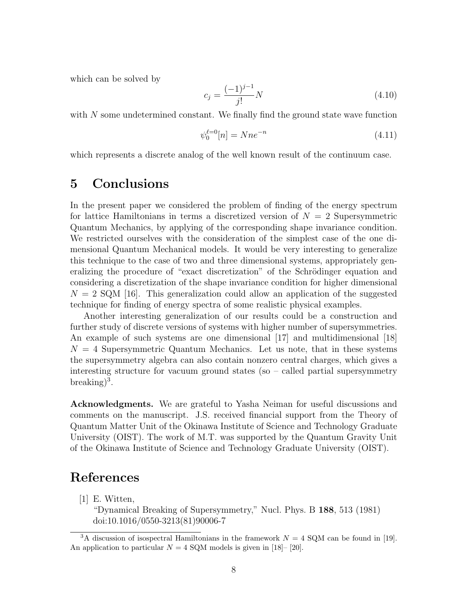which can be solved by

$$
c_j = \frac{(-1)^{j-1}}{j!}N\tag{4.10}
$$

with N some undetermined constant. We finally find the ground state wave function

$$
\psi_0^{\ell=0}[n] = Nne^{-n} \tag{4.11}
$$

which represents a discrete analog of the well known result of the continuum case.

### 5 Conclusions

In the present paper we considered the problem of finding of the energy spectrum for lattice Hamiltonians in terms a discretized version of  $N = 2$  Supersymmetric Quantum Mechanics, by applying of the corresponding shape invariance condition. We restricted ourselves with the consideration of the simplest case of the one dimensional Quantum Mechanical models. It would be very interesting to generalize this technique to the case of two and three dimensional systems, appropriately generalizing the procedure of "exact discretization" of the Schrödinger equation and considering a discretization of the shape invariance condition for higher dimensional  $N = 2$  SQM [\[16\]](#page-10-3). This generalization could allow an application of the suggested technique for finding of energy spectra of some realistic physical examples.

Another interesting generalization of our results could be a construction and further study of discrete versions of systems with higher number of supersymmetries. An example of such systems are one dimensional [\[17\]](#page-10-4) and multidimensional [\[18\]](#page-10-5)  $N = 4$  Supersymmetric Quantum Mechanics. Let us note, that in these systems the supersymmetry algebra can also contain nonzero central charges, which gives a interesting structure for vacuum ground states (so – called partial supersymmetry breaking $)^3$  $)^3$ .

Acknowledgments. We are grateful to Yasha Neiman for useful discussions and comments on the manuscript. J.S. received financial support from the Theory of Quantum Matter Unit of the Okinawa Institute of Science and Technology Graduate University (OIST). The work of M.T. was supported by the Quantum Gravity Unit of the Okinawa Institute of Science and Technology Graduate University (OIST).

## References

<span id="page-8-0"></span>[1] E. Witten,

"Dynamical Breaking of Supersymmetry," Nucl. Phys. B 188, 513 (1981) doi:10.1016/0550-3213(81)90006-7

<span id="page-8-1"></span><sup>&</sup>lt;sup>3</sup>A discussion of isospectral Hamiltonians in the framework  $N = 4$  SQM can be found in [\[19\]](#page-10-6). An application to particular  $N = 4$  SQM models is given in [\[18\]](#page-10-5)– [\[20\]](#page-10-7).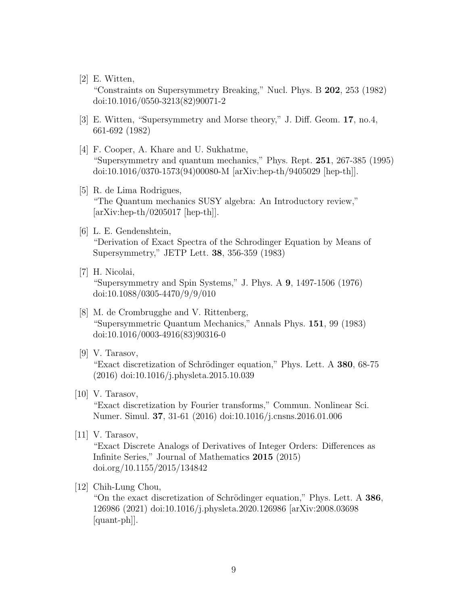[2] E. Witten,

"Constraints on Supersymmetry Breaking," Nucl. Phys. B 202, 253 (1982) doi:10.1016/0550-3213(82)90071-2

- <span id="page-9-0"></span>[3] E. Witten, "Supersymmetry and Morse theory," J. Diff. Geom. 17, no.4, 661-692 (1982)
- <span id="page-9-1"></span>[4] F. Cooper, A. Khare and U. Sukhatme, "Supersymmetry and quantum mechanics," Phys. Rept. 251, 267-385 (1995) doi:10.1016/0370-1573(94)00080-M [arXiv:hep-th/9405029 [hep-th]].
- <span id="page-9-2"></span>[5] R. de Lima Rodrigues, "The Quantum mechanics SUSY algebra: An Introductory review,"  $[\text{arXiv:hep-th}/0205017 \text{ [hep-th]}].$
- <span id="page-9-3"></span>[6] L. E. Gendenshtein, "Derivation of Exact Spectra of the Schrodinger Equation by Means of Supersymmetry," JETP Lett. 38, 356-359 (1983)
- <span id="page-9-4"></span>[7] H. Nicolai, "Supersymmetry and Spin Systems," J. Phys. A 9, 1497-1506 (1976) doi:10.1088/0305-4470/9/9/010
- <span id="page-9-5"></span>[8] M. de Crombrugghe and V. Rittenberg, "Supersymmetric Quantum Mechanics," Annals Phys. 151, 99 (1983) doi:10.1016/0003-4916(83)90316-0
- <span id="page-9-6"></span>[9] V. Tarasov,

"Exact discretization of Schrödinger equation," Phys. Lett. A 380, 68-75 (2016) doi:10.1016/j.physleta.2015.10.039

<span id="page-9-9"></span>[10] V. Tarasov,

"Exact discretization by Fourier transforms," Commun. Nonlinear Sci. Numer. Simul. 37, 31-61 (2016) doi:10.1016/j.cnsns.2016.01.006

<span id="page-9-8"></span>[11] V. Tarasov,

"Exact Discrete Analogs of Derivatives of Integer Orders: Differences as Infinite Series," Journal of Mathematics 2015 (2015) doi.org/10.1155/2015/134842

<span id="page-9-7"></span>[12] Chih-Lung Chou,

"On the exact discretization of Schrödinger equation," Phys. Lett. A  $386$ , 126986 (2021) doi:10.1016/j.physleta.2020.126986 [arXiv:2008.03698 [quant-ph]].